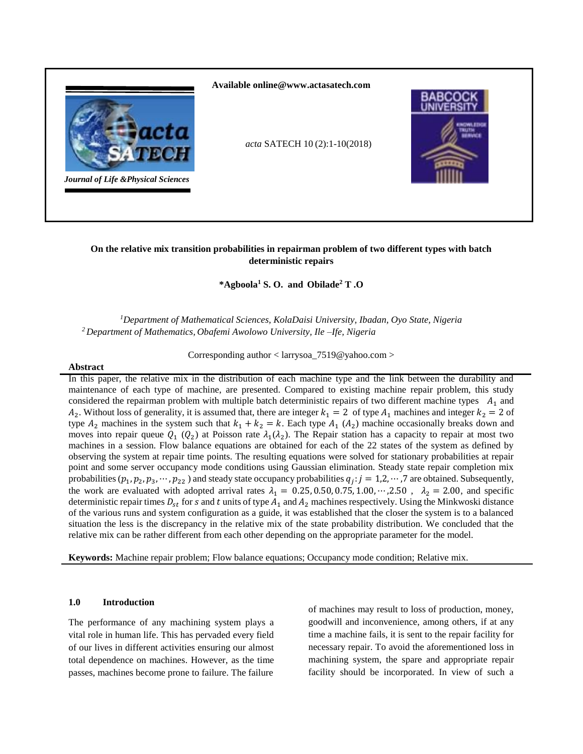

**\*Agboola<sup>1</sup> S. O. and Obilade<sup>2</sup> T .O**

*<sup>1</sup>Department of Mathematical Sciences, KolaDaisi University, Ibadan, Oyo State, Nigeria <sup>2</sup>Department of Mathematics, Obafemi Awolowo University, Ile –Ife, Nigeria*

Corresponding author < larrysoa\_7519@yahoo.com >

### **Abstract**

In this paper, the relative mix in the distribution of each machine type and the link between the durability and maintenance of each type of machine, are presented. Compared to existing machine repair problem, this study considered the repairman problem with multiple batch deterministic repairs of two different machine types  $A_1$  and  $A_2$ . Without loss of generality, it is assumed that, there are integer  $k_1 = 2$  of type  $A_1$  machines and integer  $k_2 = 2$  of type  $A_2$  machines in the system such that  $k_1 + k_2 = k$ . Each type  $A_1$  ( $A_2$ ) machine occasionally breaks down and moves into repair queue  $Q_1$  ( $Q_2$ ) at Poisson rate  $\lambda_1(\lambda_2)$ . The Repair station has a capacity to repair at most two machines in a session. Flow balance equations are obtained for each of the 22 states of the system as defined by observing the system at repair time points. The resulting equations were solved for stationary probabilities at repair point and some server occupancy mode conditions using Gaussian elimination. Steady state repair completion mix probabilities  $(p_1, p_2, p_3, \dots, p_{22})$  and steady state occupancy probabilities  $q_j : j = 1, 2, \dots, 7$  are obtained. Subsequently, the work are evaluated with adopted arrival rates  $\lambda_1 = 0.25, 0.50, 0.75, 1.00, \cdots, 2.50$ ,  $\lambda_2 = 2.00$ , and specific deterministic repair times  $D_{st}$  for  $s$  and  $t$  units of type  $A_1$  and  $A_2$  machines respectively. Using the Minkwoski distance of the various runs and system configuration as a guide, it was established that the closer the system is to a balanced situation the less is the discrepancy in the relative mix of the state probability distribution. We concluded that the relative mix can be rather different from each other depending on the appropriate parameter for the model.

**Keywords:** Machine repair problem; Flow balance equations; Occupancy mode condition; Relative mix.

# **1.0 Introduction**

The performance of any machining system plays a vital role in human life. This has pervaded every field of our lives in different activities ensuring our almost total dependence on machines. However, as the time passes, machines become prone to failure. The failure

of machines may result to loss of production, money, goodwill and inconvenience, among others, if at any time a machine fails, it is sent to the repair facility for necessary repair. To avoid the aforementioned loss in machining system, the spare and appropriate repair facility should be incorporated. In view of such a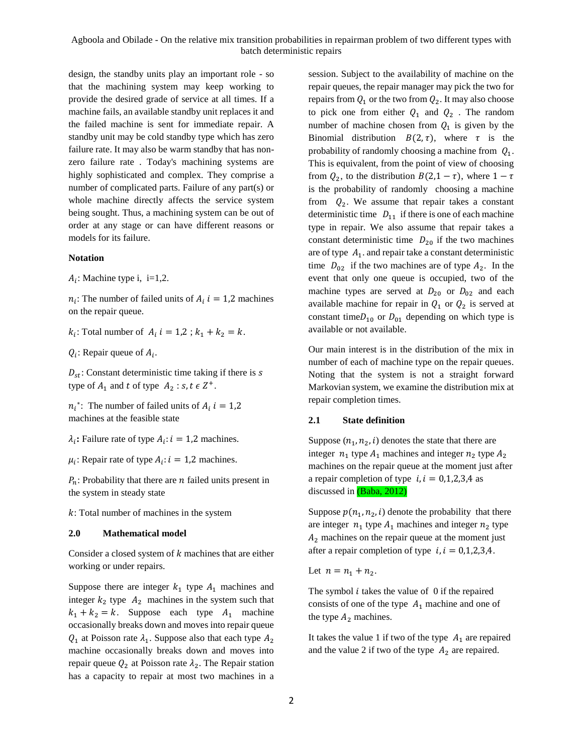design, the standby units play an important role - so that the machining system may keep working to provide the desired grade of service at all times. If a machine fails, an available standby unit replaces it and the failed machine is sent for immediate repair. A standby unit may be cold standby type which has zero failure rate. It may also be warm standby that has nonzero failure rate . Today's machining systems are highly sophisticated and complex. They comprise a number of complicated parts. Failure of any part(s) or whole machine directly affects the service system being sought. Thus, a machining system can be out of order at any stage or can have different reasons or models for its failure.

#### **Notation**

 $A_i$ : Machine type i, i=1,2.

 $n_i$ : The number of failed units of  $A_i$  *i* = 1,2 machines on the repair queue.

 $k_i$ : Total number of  $A_i$   $i = 1,2; k_1 + k_2 = k$ .

 $Q_i$ : Repair queue of  $A_i$ .

 $D_{st}$ : Constant deterministic time taking if there is s type of  $A_1$  and t of type  $A_2$ : s, t  $\epsilon Z^+$ .

 $n_i^*$ : The number of failed units of  $A_i$  i = 1,2 machines at the feasible state

 $\lambda_i$ : Failure rate of type  $A_i$ :  $i = 1,2$  machines.

 $\mu_i$ : Repair rate of type  $A_i$ :  $i = 1,2$  machines.

 $P_n$ : Probability that there are *n* failed units present in the system in steady state

 $k$ : Total number of machines in the system

### **2.0 Mathematical model**

Consider a closed system of  $k$  machines that are either working or under repairs.

Suppose there are integer  $k_1$  type  $A_1$  machines and integer  $k_2$  type  $A_2$  machines in the system such that  $k_1 + k_2 = k$ . Suppose each type  $A_1$  machine occasionally breaks down and moves into repair queue  $Q_1$  at Poisson rate  $\lambda_1$ . Suppose also that each type  $A_2$ machine occasionally breaks down and moves into repair queue  $Q_2$  at Poisson rate  $\lambda_2$ . The Repair station has a capacity to repair at most two machines in a

session. Subject to the availability of machine on the repair queues, the repair manager may pick the two for repairs from  $Q_1$  or the two from  $Q_2$ . It may also choose to pick one from either  $Q_1$  and  $Q_2$ . The random number of machine chosen from  $Q_1$  is given by the Binomial distribution  $B(2, \tau)$ , where  $\tau$  is the probability of randomly choosing a machine from  $Q_1$ . This is equivalent, from the point of view of choosing from  $Q_2$ , to the distribution  $B(2,1-\tau)$ , where  $1-\tau$ is the probability of randomly choosing a machine from  $Q_2$ . We assume that repair takes a constant deterministic time  $D_{11}$  if there is one of each machine type in repair. We also assume that repair takes a constant deterministic time  $D_{20}$  if the two machines are of type  $A_1$ . and repair take a constant deterministic time  $D_{02}$  if the two machines are of type  $A_2$ . In the event that only one queue is occupied, two of the machine types are served at  $D_{20}$  or  $D_{02}$  and each available machine for repair in  $Q_1$  or  $Q_2$  is served at constant time $D_{10}$  or  $D_{01}$  depending on which type is available or not available.

Our main interest is in the distribution of the mix in number of each of machine type on the repair queues. Noting that the system is not a straight forward Markovian system, we examine the distribution mix at repair completion times.

### **2.1 State definition**

Suppose  $(n_1, n_2, i)$  denotes the state that there are integer  $n_1$  type  $A_1$  machines and integer  $n_2$  type  $A_2$ machines on the repair queue at the moment just after a repair completion of type  $i, i = 0,1,2,3,4$  as discussed in (Baba, 2012)

Suppose  $p(n_1, n_2, i)$  denote the probability that there are integer  $n_1$  type  $A_1$  machines and integer  $n_2$  type  $A<sub>2</sub>$  machines on the repair queue at the moment just after a repair completion of type  $i, i = 0,1,2,3,4$ .

Let  $n = n_1 + n_2$ .

The symbol  $i$  takes the value of 0 if the repaired consists of one of the type  $A_1$  machine and one of the type  $A_2$  machines.

It takes the value 1 if two of the type  $A_1$  are repaired and the value 2 if two of the type  $A_2$  are repaired.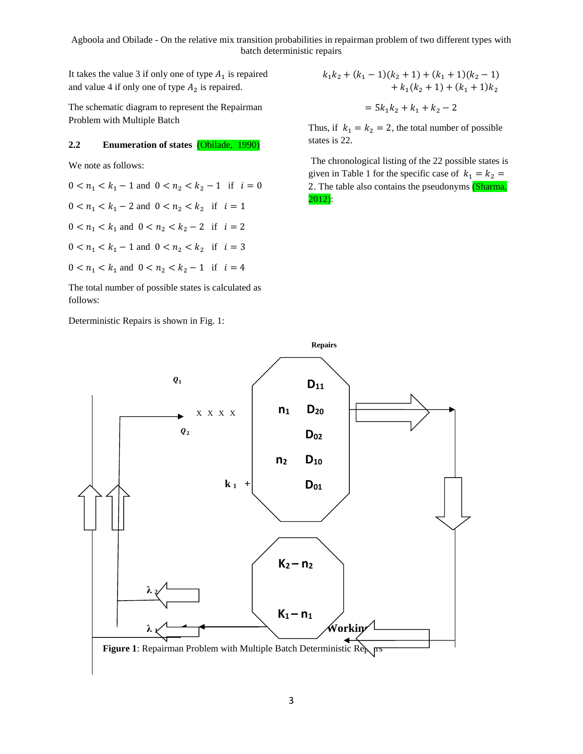It takes the value 3 if only one of type  $A_1$  is repaired and value 4 if only one of type  $A_2$  is repaired.

The schematic diagram to represent the Repairman Problem with Multiple Batch

# **2.2 Enumeration of states** (Obilade, 1990)

We note as follows:

$$
0 < n_1 < k_1 - 1 \text{ and } 0 < n_2 < k_2 - 1 \quad \text{if} \quad i = 0
$$
\n
$$
0 < n_1 < k_1 - 2 \text{ and } 0 < n_2 < k_2 \quad \text{if} \quad i = 1
$$
\n
$$
0 < n_1 < k_1 \text{ and } 0 < n_2 < k_2 - 2 \quad \text{if} \quad i = 2
$$
\n
$$
0 < n_1 < k_1 - 1 \text{ and } 0 < n_2 < k_2 \quad \text{if} \quad i = 3
$$
\n
$$
0 < n_1 < k_1 \text{ and } 0 < n_2 < k_2 - 1 \quad \text{if} \quad i = 4
$$

The total number of possible states is calculated as follows:

Deterministic Repairs is shown in Fig. 1:

$$
k_1k_2 + (k_1 - 1)(k_2 + 1) + (k_1 + 1)(k_2 - 1)
$$
  
+  $k_1(k_2 + 1) + (k_1 + 1)k_2$   
=  $5k_1k_2 + k_1 + k_2 - 2$ 

Thus, if  $k_1 = k_2 = 2$ , the total number of possible states is 22.

The chronological listing of the 22 possible states is given in Table 1 for the specific case of  $k_1 = k_2$  = 2. The table also contains the pseudonyms (Sharma, 2012):

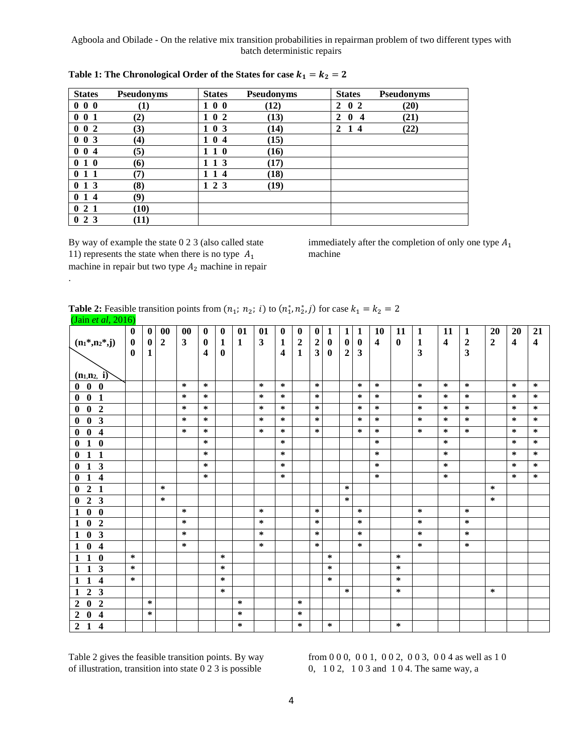| <b>States</b>                  | Pseudonyms       | <b>States</b> | Pseudonyms | <b>States</b>                                           | Pseudonyms |
|--------------------------------|------------------|---------------|------------|---------------------------------------------------------|------------|
| 000                            | $\bf{(1)}$       | 100           | (12)       | 0 <sub>2</sub><br>2                                     | (20)       |
| 001                            | (2)              | 102           | (13)       | $\mathbf{2}$<br>$\mathbf{0}$<br>$\overline{\mathbf{4}}$ | (21)       |
| $0\,0\,2$                      | (3)              | 103           | (14)       | 2<br>$\mathbf{1}$<br>-4                                 | (22)       |
| 003                            | $\left(4\right)$ | 104           | (15)       |                                                         |            |
| $0 \t0 \t4$                    | (5)              | 110           | (16)       |                                                         |            |
| 010                            | (6)              | 1 1 3         | (17)       |                                                         |            |
| $1\quad1$                      | (7)              | 14            | (18)       |                                                         |            |
| 013                            | (8)              | 1 2 3         | (19)       |                                                         |            |
| 014                            | (9)              |               |            |                                                         |            |
| 2 <sub>1</sub><br>$\mathbf{0}$ | (10)             |               |            |                                                         |            |
| 2 3<br>$\mathbf{0}$            | (11)             |               |            |                                                         |            |

| Table 1: The Chronological Order of the States for case $k_1 = k_2 = 2$ |  |  |
|-------------------------------------------------------------------------|--|--|
|-------------------------------------------------------------------------|--|--|

By way of example the state 0 2 3 (also called state 11) represents the state when there is no type  $A_1$ machine in repair but two type  $A_2$  machine in repair

.

immediately after the completion of only one type  $A_1$ machine

| <b>Table 2:</b> Feasible transition points from $(n_1; n_2; i)$ to $(n_1^*, n_2^*, j)$ for case $k_1 = k_2 = 2$ |  |  |  |
|-----------------------------------------------------------------------------------------------------------------|--|--|--|
| $\sqrt{1}$ $\sqrt{1}$ $\sqrt{1}$ $\sqrt{1}$                                                                     |  |  |  |

| (Jain et al, 2016)                                        |           |              |                |              |           |           |        |                         |                         |                  |                         |              |                  |              |                         |          |              |                         |                         |                |                         |                         |
|-----------------------------------------------------------|-----------|--------------|----------------|--------------|-----------|-----------|--------|-------------------------|-------------------------|------------------|-------------------------|--------------|------------------|--------------|-------------------------|----------|--------------|-------------------------|-------------------------|----------------|-------------------------|-------------------------|
|                                                           | $\bf{0}$  | $\mathbf{0}$ | 00             | 00           | $\bf{0}$  | $\bf{0}$  | 01     | 01                      | $\bf{0}$                | $\bf{0}$         | $\bf{0}$                | $\mathbf{1}$ | $\mathbf{1}$     | $\mathbf{1}$ | 10                      | 11       | $\mathbf{1}$ | 11                      | 1                       | 20             | 20                      | 21                      |
| $(n_1*,n_2*,j)$                                           | $\bf{0}$  | $\bf{0}$     | $\overline{2}$ | $\mathbf{3}$ | $\bf{0}$  | 1         | 1      | $\overline{\mathbf{3}}$ | 1                       | $\boldsymbol{2}$ | $\boldsymbol{2}$        | $\bf{0}$     | $\boldsymbol{0}$ | $\bf{0}$     | $\overline{\mathbf{4}}$ | $\bf{0}$ | $\mathbf{1}$ | $\overline{\mathbf{4}}$ | $\mathbf 2$             | $\overline{2}$ | $\overline{\mathbf{4}}$ | $\overline{\mathbf{4}}$ |
|                                                           | $\bf{0}$  | $\mathbf{1}$ |                |              | 4         | $\bf{0}$  |        |                         | $\overline{\mathbf{4}}$ | $\mathbf{1}$     | $\overline{\mathbf{3}}$ | $\bf{0}$     | $\boldsymbol{2}$ | 3            |                         |          | 3            |                         | $\overline{\mathbf{3}}$ |                |                         |                         |
|                                                           |           |              |                |              |           |           |        |                         |                         |                  |                         |              |                  |              |                         |          |              |                         |                         |                |                         |                         |
| $(n_1, n_2, i)$                                           |           |              |                |              |           |           |        |                         |                         |                  |                         |              |                  |              |                         |          |              |                         |                         |                |                         |                         |
| $\mathbf{0}$<br>$\bf{0}$<br>$\mathbf{0}$                  |           |              |                | $\ast$       | $\approx$ |           |        | $\ast$                  | $\ast$                  |                  | $\ast$                  |              |                  | $\ast$       | $\ast$                  |          | $\approx$    | $\ast$                  | $\ast$                  |                | $\approx$               | $\ast$                  |
| $\bf{0}$<br>1<br>0                                        |           |              |                | $\ast$       | $\ast$    |           |        | $\ast$                  | ∗                       |                  | $\ast$                  |              |                  | ∗            | $\ast$                  |          | $\approx$    | ∗                       | $\ast$                  |                | $\ast$                  | $\ast$                  |
| $\boldsymbol{2}$<br>$\mathbf{0}$<br>$\mathbf{0}$          |           |              |                | $\ast$       | $\ast$    |           |        | ∗                       | $\ast$                  |                  | $\ast$                  |              |                  | ∗            | $\ast$                  |          | $\approx$    | $\ast$                  | $\ast$                  |                | ∗                       | $\ast$                  |
| $\mathbf{3}$<br>$\bf{0}$<br>$\mathbf{0}$                  |           |              |                | $\approx$    | $\ast$    |           |        | ∗                       | ∗                       |                  | $\ast$                  |              |                  | ∗            | $\ast$                  |          | $\ast$       | $\approx$               | $\ast$                  |                | ∗                       | $\ast$                  |
| $\boldsymbol{4}$<br>$\bf{0}$<br>$\bf{0}$                  |           |              |                | $\ast$       | $\ast$    |           |        | $\approx$               | ∗                       |                  | $\ast$                  |              |                  | ∗            | $\ast$                  |          | $\ast$       | $\ast$                  | $\ast$                  |                | $\ast$                  | $\ast$                  |
| $\boldsymbol{0}$<br>$\bf{0}$<br>$\mathbf{1}$              |           |              |                |              | $\ast$    |           |        |                         | $\ast$                  |                  |                         |              |                  |              | $\ast$                  |          |              | $\ast$                  |                         |                | ∗                       | $\ast$                  |
| $\mathbf{1}$<br>$\bf{0}$<br>1                             |           |              |                |              | $\ast$    |           |        |                         | $\ast$                  |                  |                         |              |                  |              | $\ast$                  |          |              | $\ast$                  |                         |                | $\ast$                  | $\ast$                  |
| $\mathbf{3}$<br>$\bf{0}$<br>1                             |           |              |                |              | $\ast$    |           |        |                         | $\ast$                  |                  |                         |              |                  |              | $\ast$                  |          |              | $\approx$               |                         |                | ∗                       | $\ast$                  |
| $\overline{\mathbf{4}}$<br>$\mathbf{0}$<br>$\mathbf{1}$   |           |              |                |              | $\ast$    |           |        |                         | $\ast$                  |                  |                         |              |                  |              | $\ast$                  |          |              | $\ast$                  |                         |                | $\ast$                  | $\ast$                  |
| $\overline{2}$<br>1<br>$\mathbf{0}$                       |           |              | ∗              |              |           |           |        |                         |                         |                  |                         |              | ∗                |              |                         |          |              |                         |                         | $\approx$      |                         |                         |
| $\overline{\mathbf{3}}$<br>$\overline{2}$<br>$\mathbf{0}$ |           |              | ∗              |              |           |           |        |                         |                         |                  |                         |              | $\ast$           |              |                         |          |              |                         |                         | $\ast$         |                         |                         |
| $\bf{0}$<br>$\bf{0}$<br>1                                 |           |              |                | $\ast$       |           |           |        | $\ast$                  |                         |                  | $\ast$                  |              |                  | $\ast$       |                         |          | $\approx$    |                         | $\ast$                  |                |                         |                         |
| $\boldsymbol{2}$<br>$\bf{0}$<br>1                         |           |              |                | $\approx$    |           |           |        | ∗                       |                         |                  | $\ast$                  |              |                  | ∗            |                         |          | $\approx$    |                         | $\ast$                  |                |                         |                         |
| $\overline{\mathbf{3}}$<br>$\bf{0}$<br>1                  |           |              |                | $\ast$       |           |           |        | $\ast$                  |                         |                  | $\ast$                  |              |                  | $\ast$       |                         |          | $\ast$       |                         | $\ast$                  |                |                         |                         |
| $\overline{\mathbf{4}}$<br>$\bf{0}$<br>1                  |           |              |                | ∗            |           |           |        | $\ast$                  |                         |                  | $\ast$                  |              |                  | $\ast$       |                         |          | $\ast$       |                         | $\ast$                  |                |                         |                         |
| $\bf{0}$<br>1<br>1                                        | $\ast$    |              |                |              |           | $\ast$    |        |                         |                         |                  |                         | $\ast$       |                  |              |                         | ∗        |              |                         |                         |                |                         |                         |
| $\overline{\mathbf{3}}$<br>1<br>1                         | $\ast$    |              |                |              |           | $\ast$    |        |                         |                         |                  |                         | $\ast$       |                  |              |                         | $\ast$   |              |                         |                         |                |                         |                         |
| $\overline{\mathbf{4}}$<br>1<br>1                         | $\approx$ |              |                |              |           | $\ast$    |        |                         |                         |                  |                         | ∗            |                  |              |                         | ∗        |              |                         |                         |                |                         |                         |
| $\boldsymbol{2}$<br>3<br>1                                |           |              |                |              |           | $\approx$ |        |                         |                         |                  |                         |              | $\ast$           |              |                         | ∗        |              |                         |                         | ∗              |                         |                         |
| $\boldsymbol{2}$<br>$\overline{2}$<br>$\mathbf{0}$        |           | $\approx$    |                |              |           |           | $\ast$ |                         |                         | $\ast$           |                         |              |                  |              |                         |          |              |                         |                         |                |                         |                         |
| 4<br>$\overline{2}$<br>$\mathbf{0}$                       |           | $\approx$    |                |              |           |           | $\ast$ |                         |                         | $\ast$           |                         |              |                  |              |                         |          |              |                         |                         |                |                         |                         |
| 4<br>$\boldsymbol{2}$<br>1                                |           |              |                |              |           |           | $\ast$ |                         |                         | $\ast$           |                         | $\ast$       |                  |              |                         | ∗        |              |                         |                         |                |                         |                         |

Table 2 gives the feasible transition points. By way of illustration, transition into state 0 2 3 is possible

from 0 0 0, 0 0 1, 0 0 2, 0 0 3, 0 0 4 as well as 1 0 0, 1 0 2, 1 0 3 and 1 0 4. The same way, a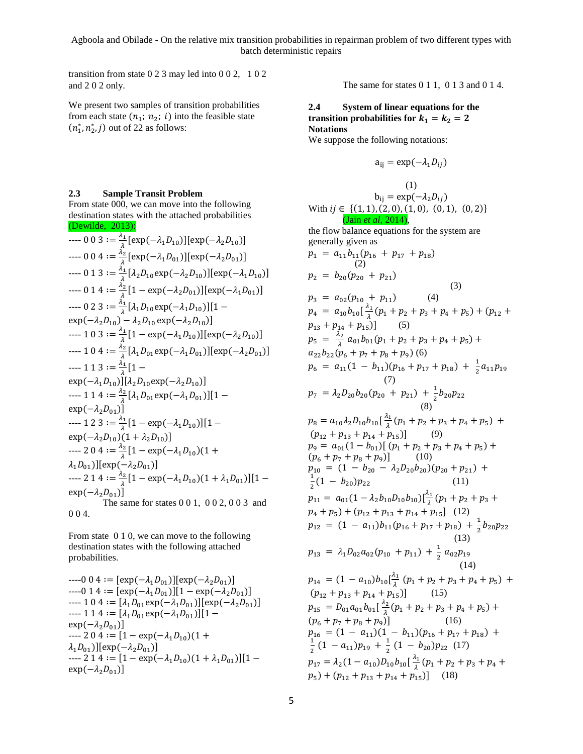transition from state 0 2 3 may led into 0 0 2, 1 0 2 and 2 0 2 only.

We present two samples of transition probabilities from each state  $(n_1; n_2; i)$  into the feasible state  $(n_1^*, n_2^*, j)$  out of 22 as follows:

# **2.3 Sample Transit Problem**

From state 000, we can move into the following destination states with the attached probabilities (Dewilde, 2013):

$$
0 0 3 := \frac{\lambda_1}{\lambda} [\exp(-\lambda_1 D_{10})] [\exp(-\lambda_2 D_{10})]
$$
  
\n
$$
1-- 0 0 4 := \frac{\lambda_2}{\lambda} [\exp(-\lambda_1 D_{01})] [\exp(-\lambda_2 D_{01})]
$$
  
\n
$$
1-- 0 1 3 := \frac{\lambda_1}{\lambda} [\lambda_2 D_{10} \exp(-\lambda_2 D_{10})] [\exp(-\lambda_1 D_{10})]
$$
  
\n
$$
1-- 0 1 4 := \frac{\lambda_2}{\lambda} [1 - \exp(-\lambda_2 D_{01})] [\exp(-\lambda_1 D_{01})]
$$
  
\n
$$
1-- 0 2 3 := \frac{\lambda_1}{\lambda} [\lambda_1 D_{10} \exp(-\lambda_1 D_{10})] [1 - \exp(-\lambda_2 D_{10})]
$$
  
\n
$$
1-- 0 2 3 := \frac{\lambda_1}{\lambda} [\lambda_1 D_{10} \exp(-\lambda_1 D_{10})] [\exp(-\lambda_2 D_{10})]
$$
  
\n
$$
10 3 := \frac{\lambda_1}{\lambda} [1 - \exp(-\lambda_1 D_{10})] [\exp(-\lambda_2 D_{10})]
$$
  
\n
$$
11 0 4 := \frac{\lambda_2}{\lambda} [\lambda_1 D_{01} \exp(-\lambda_1 D_{01})] [\exp(-\lambda_2 D_{01})]
$$
  
\n
$$
11 1 3 := \frac{\lambda_1}{\lambda} [1 - \exp(-\lambda_1 D_{10})] [\lambda_2 D_{10} \exp(-\lambda_2 D_{10})]
$$
  
\n
$$
11 1 4 := \frac{\lambda_2}{\lambda} [\lambda_1 D_{01} \exp(-\lambda_1 D_{01})] [1 - \exp(-\lambda_2 D_{01})]
$$
  
\n
$$
11 2 3 := \frac{\lambda_1}{\lambda} [1 - \exp(-\lambda_1 D_{10})] [1 - \exp(-\lambda_2 D_{10})]
$$
  
\n
$$
11 2 3 := \frac{\lambda_2}{\lambda} [1 - \exp(-\lambda_1 D_{10})] [1 - \exp(-\lambda_2 D_{10})]
$$
  
\n
$$
11 2 0 4 := \frac{\lambda_2}{\lambda} [1 - \
$$

From state 0 1 0, we can move to the following destination states with the following attached probabilities.

 $---0$  0 4 :=  $[exp(-\lambda_1D_{01})][exp(-\lambda_2D_{01})]$  $---0$  1 4 :=  $\left[\exp(-\lambda_1D_{01})\right][1 - \exp(-\lambda_2D_{01})]$  $--- 1 0 4 := [\lambda_1 D_{01} \exp(-\lambda_1 D_{01})] [\exp(-\lambda_2 D_{01})]$  $--- 1 1 4 := [\lambda_1 D_{01} \exp(-\lambda_1 D_{01})][1 \exp(-\lambda_2D_{01})$ ]  $-$ ---2 0 4 := [1 – exp( $-\lambda_1 D_{10}$ )(1 +  $\lambda_1 D_{01})$ ][exp(- $\lambda_2 D_{01})$ ]  $--- 214 := [1 - \exp(-\lambda_1 D_{10})(1 + \lambda_1 D_{01})][1 \exp(-\lambda_2D_{01})$ ]

The same for states 0 1 1, 0 1 3 and 0 1 4.

# **2.4 System of linear equations for the transition probabilities for**  $k_1 = k_2 = 2$ **Notations**

We suppose the following notations:

$$
a_{ij} = \exp(-\lambda_1 D_{ij})
$$

$$
b_{ij} = \exp(-\lambda_2 D_{ij})
$$
  
\nWith  $ij \in \{((1, 1), (2, 0), (1, 0), (0, 1), (0, 2)\}$   
\n**(Jain *et al.*, 2014)**  
\nthe flow balance equations for the system are  
\ngenerally given as  
\n $p_1 = a_{11}b_{11}(p_{16} + p_{17} + p_{18})$   
\n $p_2 = b_{20}(p_{20} + p_{21})$   
\n $p_3 = a_{02}(p_{10} + p_{11})$   
\n $p_4 = a_{10}b_{10}[\frac{\lambda_1}{\lambda}(p_1 + p_2 + p_3 + p_4 + p_5) + (p_{12} + p_{13} + p_{14} + p_{15})]$   
\n $p_5 = \frac{\lambda_2}{\lambda}a_{01}b_{01}(p_1 + p_2 + p_3 + p_4 + p_5) +$   
\n $a_{22}b_{22}(p_6 + p_7 + p_8 + p_9)$   
\n $p_6 = a_{11}(1 - b_{11})(p_{16} + p_{17} + p_{18}) + \frac{1}{2}a_{11}p_{19}$   
\n $p_7 = \lambda_2D_{20}b_{20}(p_{20} + p_{21}) + \frac{1}{2}b_{20}p_{22}$   
\n $p_8 = a_{10}\lambda_2D_{10}b_{10}[\frac{\lambda_1}{\lambda}(p_1 + p_2 + p_3 + p_4 + p_5) +$   
\n $(p_{12} + p_{13} + p_{14} + p_{15})]$   
\n $p_9 = a_{01}(1 - b_{01})[(p_1 + p_2 + p_3 + p_4 + p_5) +$   
\n $(p_6 + p_7 + p_8 + p_9)]$   
\n $p_9 = a_{01}(1 - \lambda_2b_{10}D_{10}b_{10})[\frac{\lambda_1}{\lambda}(p_1 + p_2 + p_3 +$   
\n $(p_6 + p_7 + p_8 + p_9)]$   
\n $p_{10} = (1 - b_{20} - \lambda_2D_{20}b_{20})(p$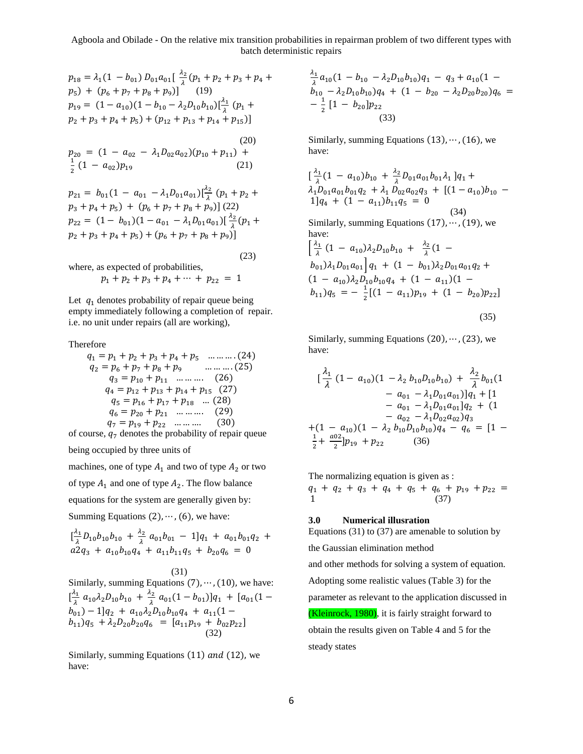$$
p_{18} = \lambda_1 (1 - b_{01}) D_{01} a_{01} \left[ \frac{\lambda_2}{\lambda} (p_1 + p_2 + p_3 + p_4 + p_5) + (p_6 + p_7 + p_8 + p_9) \right] \qquad (19)
$$
  
\n
$$
p_{19} = (1 - a_{10}) (1 - b_{10} - \lambda_2 D_{10} b_{10}) \left[ \frac{\lambda_1}{\lambda} (p_1 + p_2 + p_3 + p_4 + p_5) + (p_{12} + p_{13} + p_{14} + p_{15}) \right]
$$
  
\n
$$
p_{20} = (1 - a_{02} - \lambda_1 D_{02} a_{02}) (p_{10} + p_{11}) + \frac{1}{2} (1 - a_{02}) p_{19} \qquad (21)
$$

 $p_{21} = b_{01}(1 - a_{01} - \lambda_1 D_{01} a_{01})\left[\frac{\lambda_2}{\lambda}\right]$  $\frac{12}{\lambda}(p_1 + p_2 +$  $p_3 + p_4 + p_5$  +  $(p_6 + p_7 + p_8 + p_9)$  (22)  $p_{22} = (1 - b_{01})(1 - a_{01} - \lambda_1 D_{01} a_{01})\left[\frac{\lambda_2}{\lambda}\right]$  $\frac{1}{\lambda}(p_1 +$  $p_2 + p_3 + p_4 + p_5$  +  $(p_6 + p_7 + p_8 + p_9)$ ]

(23)

where, as expected of probabilities,

$$
p_1 + p_2 + p_3 + p_4 + \cdots + p_{22} = 1
$$

Let  $q_1$  denotes probability of repair queue being empty immediately following a completion of repair. i.e. no unit under repairs (all are working),

Therefore

$$
q_1 = p_1 + p_2 + p_3 + p_4 + p_5 \quad \dots \dots \dots (24)
$$
  
\n
$$
q_2 = p_6 + p_7 + p_8 + p_9 \quad \dots \dots \dots (25)
$$
  
\n
$$
q_3 = p_{10} + p_{11} \quad \dots \dots \dots (26)
$$
  
\n
$$
q_4 = p_{12} + p_{13} + p_{14} + p_{15} \quad (27)
$$
  
\n
$$
q_5 = p_{16} + p_{17} + p_{18} \quad \dots (28)
$$
  
\n
$$
q_6 = p_{20} + p_{21} \quad \dots \dots \dots (29)
$$
  
\n
$$
q_7 = p_{19} + p_{22} \quad \dots \dots \dots (30)
$$

of course,  $q_7$  denotes the probability of repair queue

being occupied by three units of

machines, one of type  $A_1$  and two of type  $A_2$  or two

of type  $A_1$  and one of type  $A_2$ . The flow balance

equations for the system are generally given by:

Summing Equations  $(2), \cdots$ ,  $(6)$ , we have:

$$
\begin{aligned}\n\frac{\lambda_1}{\lambda} D_{10} b_{10} b_{10} + \frac{\lambda_2}{\lambda} a_{01} b_{01} - 1] q_1 + a_{01} b_{01} q_2 + a_{02} q_3 + a_{10} b_{10} q_4 + a_{11} b_{11} q_5 + b_{20} q_6 = 0\n\end{aligned}
$$

#### (31)

Similarly, summing Equations  $(7)$ ,  $\dots$ ,  $(10)$ , we have:  $\left[\frac{\lambda_1}{2}\right]$  $\frac{\lambda_1}{\lambda}$   $a_{10}\lambda_2 D_{10}b_{10} + \frac{\lambda_2}{\lambda}$  $\frac{a_2}{\lambda} a_{01}(1 - b_{01})]q_1 + [a_{01}(1 (b_{01})-1]q_2 + a_{10}\lambda_2D_{10}b_{10}q_4 + a_{11}(1-\$  $(b_{11})q_5 + \lambda_2 D_{20}b_{20}q_6 = [a_{11}p_{19} + b_{02}p_{22}]$ (32)

Similarly, summing Equations  $(11)$  and  $(12)$ , we have:

$$
\frac{\lambda_1}{\lambda}a_{10}(1 - b_{10} - \lambda_2 D_{10}b_{10})q_1 - q_3 + a_{10}(1 - b_{10} - \lambda_2 D_{10}b_{10})q_4 + (1 - b_{20} - \lambda_2 D_{20}b_{20})q_6 = -\frac{1}{2}[1 - b_{20}]p_{22}
$$
\n(33)

Similarly, summing Equations  $(13)$ ,  $\dots$ ,  $(16)$ , we have:

$$
\left[\frac{\lambda_1}{\lambda}(1 - a_{10})b_{10} + \frac{\lambda_2}{\lambda}D_{01}a_{01}b_{01}\lambda_1\right]q_1 +
$$
  
\n
$$
\lambda_1 D_{01}a_{01}b_{01}q_2 + \lambda_1 D_{02}a_{02}q_3 + \left[(1 - a_{10})b_{10} - 1\right]q_4 + (1 - a_{11})b_{11}q_5 = 0
$$
  
\n(34)  
\nSimilarly, summing Equations (17), ..., (19), we have:  
\n
$$
\left[\frac{\lambda_1}{\lambda}(1 - a_{10})\lambda_2D_{10}b_{10} + \frac{\lambda_2}{\lambda}(1 - b_{01})\lambda_1D_{01}a_{01}\right]q_1 + (1 - b_{01})\lambda_2D_{01}a_{01}q_2 +
$$
  
\n
$$
(1 - a_{10})\lambda_2D_{10}b_{10}q_4 + (1 - a_{11})(1 - b_{11})q_5 = -\frac{1}{2}\left[(1 - a_{11})p_{19} + (1 - b_{20})p_{22}\right]
$$

$$
(35)
$$

Similarly, summing Equations  $(20), \dots, (23)$ , we have:

$$
\begin{aligned}\n&\left[\frac{\lambda_1}{\lambda}(1-a_{10})(1-\lambda_2 b_{10}D_{10}b_{10}) + \frac{\lambda_2}{\lambda}b_{01}(1 - a_{01} - \lambda_1 D_{01}a_{01})\right]q_1 + [1 - a_{01} - \lambda_1 D_{01}a_{01}]q_2 + (1 - a_{02} - \lambda_1 D_{02}a_{02})q_3 \\
&+ (1 - a_{10})(1 - \lambda_2 b_{10}D_{10}b_{10})q_4 - q_6 = [1 - \frac{1}{2} + \frac{a02}{2}]p_{19} + p_{22} \qquad (36)\n\end{aligned}
$$

The normalizing equation is given as :

 $q_1 + q_2 + q_3 + q_4 + q_5 + q_6 + p_{19} + p_{22} =$  $1 \t(37)$ 

### **3.0 Numerical illusration**

Equations (31) to (37) are amenable to solution by

the Gaussian elimination method

and other methods for solving a system of equation. Adopting some realistic values (Table 3) for the parameter as relevant to the application discussed in

(Kleinrock, 1980), it is fairly straight forward to obtain the results given on Table 4 and 5 for the steady states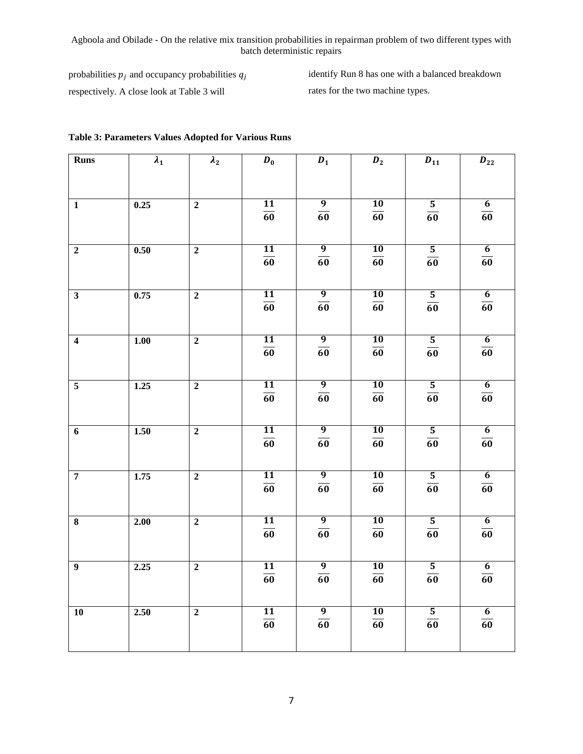probabilities  $p_i$  and occupancy probabilities  $q_i$ respectively. A close look at Table 3 will

identify Run 8 has one with a balanced breakdown rates for the two machine types.

| <b>Runs</b>             | $\lambda_1$ | $\lambda_2$    | $D_0$           | $D_1$           | $D_2$           | $\pmb{D}_{11}$          | $\bm{D}_{22}$   |
|-------------------------|-------------|----------------|-----------------|-----------------|-----------------|-------------------------|-----------------|
|                         |             |                |                 |                 |                 |                         |                 |
| $\mathbf{1}$            | 0.25        | $\overline{2}$ | 11              | $\overline{9}$  | 10              | $\overline{\mathbf{5}}$ | $\overline{6}$  |
|                         |             |                | $\overline{60}$ | $\overline{60}$ | $\overline{60}$ | $\overline{60}$         | $\overline{60}$ |
|                         |             |                |                 |                 |                 |                         |                 |
| $\overline{2}$          | 0.50        | $\overline{2}$ | 11              | $\overline{9}$  | 10              | $\overline{5}$          | $\overline{6}$  |
|                         |             |                | $\overline{60}$ | $\overline{60}$ | $\overline{60}$ | $\overline{60}$         | $\overline{60}$ |
| $\overline{\mathbf{3}}$ | 0.75        | $\overline{2}$ | 11              | $\overline{9}$  | 10              | $\overline{5}$          | $\overline{6}$  |
|                         |             |                | $\overline{60}$ | $\overline{60}$ | $\overline{60}$ | $\overline{60}$         | $\overline{60}$ |
|                         |             |                |                 |                 |                 |                         |                 |
| $\overline{\mathbf{4}}$ | 1.00        | $\overline{2}$ | <b>11</b>       | $\overline{9}$  | $\overline{10}$ | $\overline{5}$          | $\overline{6}$  |
|                         |             |                | $\overline{60}$ | $\overline{60}$ | $\overline{60}$ | $\overline{60}$         | $\overline{60}$ |
|                         |             |                |                 |                 |                 |                         |                 |
| $\overline{5}$          | 1.25        | $\overline{2}$ | 11              | $\overline{9}$  | 10              | $\overline{\mathbf{5}}$ | $\overline{6}$  |
|                         |             |                | $\overline{60}$ | $\overline{60}$ | 60              | $\overline{60}$         | $\overline{60}$ |
|                         |             |                |                 |                 |                 |                         |                 |
| $\overline{6}$          | 1.50        | $\overline{2}$ | $\overline{11}$ | $\overline{9}$  | <b>10</b>       | $\overline{\mathbf{5}}$ | $\overline{6}$  |
|                         |             |                | $\overline{60}$ | $\overline{60}$ | $\overline{60}$ | $\overline{60}$         | $\overline{60}$ |
|                         |             |                |                 |                 |                 |                         |                 |
| $\overline{7}$          | 1.75        | $\overline{2}$ | 11              | $\overline{9}$  | 10              | $\overline{\mathbf{5}}$ | $6\overline{6}$ |
|                         |             |                | $\overline{60}$ | $\overline{60}$ | $\overline{60}$ | $\overline{60}$         | 60              |
|                         |             |                |                 |                 |                 |                         |                 |
| 8                       | 2.00        | $\overline{2}$ | <b>11</b>       | $\overline{9}$  | <b>10</b>       | $\overline{5}$          | $\overline{6}$  |
|                         |             |                | $\overline{60}$ | $\overline{60}$ | $\overline{60}$ | $\overline{60}$         | $\overline{60}$ |
|                         |             |                |                 |                 |                 |                         |                 |
| $\overline{9}$          | 2.25        | $\overline{2}$ | 11              | $\overline{9}$  | 10              | $\overline{5}$          | 6               |
|                         |             |                | $\overline{60}$ | $\overline{60}$ | $\overline{60}$ | $\overline{60}$         | $\overline{60}$ |
|                         |             |                |                 |                 |                 |                         |                 |
| $\overline{10}$         | 2.50        | $\overline{2}$ | 11              | $\overline{9}$  | <b>10</b>       | $\overline{\mathbf{5}}$ | $\overline{6}$  |
|                         |             |                | $\overline{60}$ | $\overline{60}$ | $\overline{60}$ | $\overline{60}$         | $\overline{60}$ |
|                         |             |                |                 |                 |                 |                         |                 |

# **Table 3: Parameters Values Adopted for Various Runs**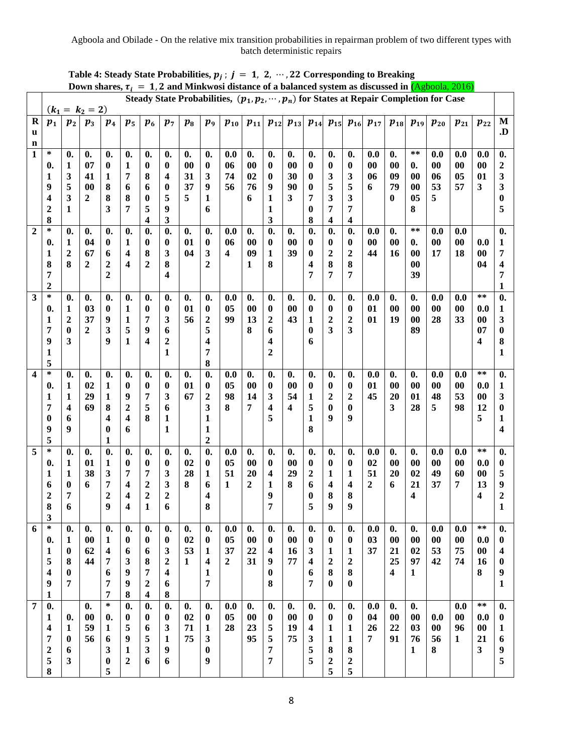| Down shares, $\tau_i = 1$ , 2 and Minkwosi distance of a balanced system as discussed in (Agboola, 2016)<br>Steady State Probabilities, $(p_1, p_2, \dots, p_n)$ for States at Repair Completion for Case |                              |                                |                      |                                    |                    |                                        |                                    |                      |                                        |                         |                      |                         |                                 |                     |                                        |                                    |                                     |                                     |                             |                   |                  |              |                                |
|-----------------------------------------------------------------------------------------------------------------------------------------------------------------------------------------------------------|------------------------------|--------------------------------|----------------------|------------------------------------|--------------------|----------------------------------------|------------------------------------|----------------------|----------------------------------------|-------------------------|----------------------|-------------------------|---------------------------------|---------------------|----------------------------------------|------------------------------------|-------------------------------------|-------------------------------------|-----------------------------|-------------------|------------------|--------------|--------------------------------|
|                                                                                                                                                                                                           |                              |                                | $(k_1 = k_2 = 2)$    |                                    |                    |                                        |                                    |                      |                                        |                         |                      |                         |                                 |                     |                                        |                                    |                                     |                                     |                             |                   |                  |              |                                |
| $\mathbf R$                                                                                                                                                                                               | $p_1$                        | $\boldsymbol{p}_2$             | $\boldsymbol{p}_3$   | $p_{4}$                            | $p_5$              | $p_{6}$                                | $p_7$                              | $p_8$                | $\boldsymbol{p_9}$                     | $p_{10}$                | $p_{11}$             |                         | $p_{12}$ $p_{13}$               |                     |                                        |                                    | $p_{14}$ $p_{15}$ $p_{16}$ $p_{17}$ | $p_{18}$                            |                             | $p_{19}$ $p_{20}$ | $p_{21}$         | $p_{22}$     | M                              |
| u<br>$\mathbf n$                                                                                                                                                                                          |                              |                                |                      |                                    |                    |                                        |                                    |                      |                                        |                         |                      |                         |                                 |                     |                                        |                                    |                                     |                                     |                             |                   |                  |              | .D                             |
| $\overline{1}$                                                                                                                                                                                            | $\ast$                       | $\mathbf{0}$ .                 | $\mathbf{0}$ .       | $\boldsymbol{0}$ .                 | $\boldsymbol{0}$ . | $\boldsymbol{0}$ .                     | $\mathbf{0}$ .                     | $\mathbf{0}$ .       | $\mathbf{0}$ .                         | 0.0                     | $\mathbf{0}$ .       | $\mathbf{0}$ .          | $\mathbf{0}$ .                  | $\mathbf{0}$ .      | $\mathbf{0}$ .                         | $\mathbf{0}$ .                     | 0.0                                 | $\mathbf{0}$ .                      | $\ast\ast$                  | 0.0               | 0.0              | 0.0          | $\boldsymbol{0}$ .             |
|                                                                                                                                                                                                           | 0.                           | 1                              | 07                   | $\bf{0}$                           | 1                  | $\boldsymbol{0}$                       | $\boldsymbol{0}$                   | 00                   | $\boldsymbol{0}$                       | 06                      | 00                   | 0                       | 00                              | 0                   | $\bf{0}$                               | $\boldsymbol{0}$                   | $\bf{00}$                           | 00                                  | $\mathbf{0}$ .              | 00                | 00               | 00           | $\boldsymbol{2}$               |
|                                                                                                                                                                                                           | 1<br>9                       | 3<br>5                         | 41<br>00             | 1<br>8                             | 7<br>6             | 8<br>6                                 | 4<br>0                             | 31<br>37             | 3<br>9                                 | 74<br>56                | 02<br>76             | 0<br>9                  | 30<br>90                        | 0<br>$\bf{0}$       | $\mathbf{3}$<br>5                      | 3<br>5                             | 06<br>6                             | 09<br>79                            | 00<br>00                    | 06<br>53          | 05<br>57         | 01<br>3      | 3<br>3                         |
|                                                                                                                                                                                                           | 4                            | $\overline{\mathbf{3}}$        | $\overline{2}$       | 8                                  | 8                  | $\bf{0}$                               | 5                                  | 5                    | 1                                      |                         | 6                    | 1                       | 3                               | 7                   | 3                                      | 3                                  |                                     | 0                                   | 05                          | 5                 |                  |              | 0                              |
|                                                                                                                                                                                                           | $\mathbf{2}$                 | 1                              |                      | 3                                  | 7                  | 5                                      | 9                                  |                      | 6                                      |                         |                      | 1                       |                                 | 0                   | 7                                      | 7                                  |                                     |                                     | 8                           |                   |                  |              | 5                              |
| $\overline{2}$                                                                                                                                                                                            | 8<br>$\ast$                  |                                |                      |                                    |                    | 4                                      | 3                                  |                      |                                        |                         |                      | 3                       |                                 | 8                   | 4                                      | 4                                  |                                     |                                     | $***$                       |                   |                  |              |                                |
|                                                                                                                                                                                                           | 0.                           | $\mathbf{0}$ .<br>$\mathbf{1}$ | $\mathbf{0}$ .<br>04 | 0.<br>$\boldsymbol{0}$             | 0.<br>$\mathbf{1}$ | $\boldsymbol{0}$ .<br>$\boldsymbol{0}$ | $\mathbf{0}$ .<br>$\boldsymbol{0}$ | $\mathbf{0}$ .<br>01 | $\mathbf{0}$ .<br>$\boldsymbol{0}$     | 0.0<br>06               | $\mathbf{0}$ .<br>00 | $\boldsymbol{0}$ .<br>0 | $\boldsymbol{0}$ .<br>$\bf{00}$ | $\mathbf{0}$<br>0   | $\boldsymbol{0}$ .<br>$\boldsymbol{0}$ | $\mathbf{0}$ .<br>$\boldsymbol{0}$ | 0.0<br>$\bf{00}$                    | $\mathbf{0}$ .<br>$\boldsymbol{00}$ | $\boldsymbol{0}$ .          | 0.0<br>00         | 0.0<br>00        | 0.0          | 0.<br>1                        |
|                                                                                                                                                                                                           | 1                            | $\overline{\mathbf{c}}$        | 67                   | 6                                  | 4                  | 8                                      | 3                                  | 04                   | 3                                      | $\overline{\mathbf{4}}$ | 09                   | 1                       | 39                              | $\boldsymbol{0}$    | $\mathbf 2$                            | $\overline{\mathbf{c}}$            | 44                                  | 16                                  | 00                          | 17                | 18               | $00\,$       | 7                              |
|                                                                                                                                                                                                           | 8                            | 8                              | 2                    | $\boldsymbol{2}$                   | 4                  | $\boldsymbol{2}$                       | 8                                  |                      | $\overline{2}$                         |                         | 1                    | 8                       |                                 | 4                   | 8                                      | 8                                  |                                     |                                     | 00                          |                   |                  | 04           | 4                              |
|                                                                                                                                                                                                           | 7<br>$\mathbf{2}$            |                                |                      | $\mathbf{2}$                       |                    |                                        | 4                                  |                      |                                        |                         |                      |                         |                                 | 7                   | 7                                      | 7                                  |                                     |                                     | 39                          |                   |                  |              | 7<br>1                         |
| $\overline{\mathbf{3}}$                                                                                                                                                                                   | $\ast$                       | $\mathbf{0}$ .                 | $\boldsymbol{0}$ .   | 0.                                 | 0.                 | $\boldsymbol{0}$ .                     | $\boldsymbol{0}$ .                 | $\mathbf{0}$ .       | $\mathbf{0}$ .                         | 0.0                     | $\mathbf{0}$ .       | $\boldsymbol{0}$ .      | $\mathbf{0}$ .                  | $\mathbf{0}$ .      | $\mathbf{0}$ .                         | $\mathbf{0}$ .                     | 0.0                                 | 0.                                  | $\mathbf{0}$ .              | 0.0               | 0.0              | $***$        | $\mathbf{0}$                   |
|                                                                                                                                                                                                           | 0.                           | 1                              | 03                   | $\bf{0}$                           | $\mathbf{1}$       | $\boldsymbol{0}$                       | $\boldsymbol{0}$                   | 01                   | $\boldsymbol{0}$                       | 05                      | 00                   | $\boldsymbol{0}$        | 00                              | 0                   | $\boldsymbol{0}$                       | $\bf{0}$                           | 01                                  | $\boldsymbol{00}$                   | 00                          | 00                | $\bf{00}$        | 0.0          | 1                              |
|                                                                                                                                                                                                           | 1<br>7                       | 2<br>$\boldsymbol{0}$          | 37<br>$\mathbf{2}$   | 9<br>3                             | 1<br>5             | 7<br>9                                 | 3<br>6                             | 56                   | $\boldsymbol{2}$<br>5                  | 99                      | 13<br>8              | 2<br>6                  | 43                              | 1<br>$\bf{0}$       | $\boldsymbol{2}$<br>3                  | 2<br>3                             | 01                                  | 19                                  | 00<br>89                    | 28                | 33               | $00\,$<br>07 | 3<br>$\bf{0}$                  |
|                                                                                                                                                                                                           | 9                            | 3                              |                      | 9                                  | 1                  | $\overline{\mathbf{4}}$                | $\boldsymbol{2}$                   |                      | 4                                      |                         |                      | 4                       |                                 | 6                   |                                        |                                    |                                     |                                     |                             |                   |                  | 4            | 8                              |
|                                                                                                                                                                                                           | 1                            |                                |                      |                                    |                    |                                        | 1                                  |                      | 7                                      |                         |                      | 2                       |                                 |                     |                                        |                                    |                                     |                                     |                             |                   |                  |              | 1                              |
| $\overline{\mathbf{4}}$                                                                                                                                                                                   | 5<br>$\ast$                  | 0.                             | $\mathbf{0}$ .       | 0.                                 | 0.                 | 0.                                     | 0.                                 | $\mathbf{0}$ .       | 8<br>$\boldsymbol{0}$ .                | 0.0                     | $\boldsymbol{0}$ .   | $\boldsymbol{0}$ .      | $\boldsymbol{0}$ .              | $\mathbf{0}$ .      | $\boldsymbol{0}$ .                     | $\mathbf{0}$ .                     | 0.0                                 | 0.                                  | $\boldsymbol{0}$ .          | 0.0               | 0.0              | $***$        | 0.                             |
|                                                                                                                                                                                                           | 0.                           | 1                              | 02                   | $\mathbf{1}$                       | $\bf{0}$           | $\boldsymbol{0}$                       | $\boldsymbol{0}$                   | 01                   | $\boldsymbol{0}$                       | 05                      | $00\,$               | 0                       | $\bf{00}$                       | 0                   | $\boldsymbol{0}$                       | $\pmb{0}$                          | 01                                  | $\boldsymbol{00}$                   | 00                          | 00                | $\bf{00}$        | 0.0          | $\mathbf{1}$                   |
|                                                                                                                                                                                                           | 1                            | $\mathbf{1}$                   | 29                   | $\mathbf{1}$                       | 9                  | 7                                      | 3                                  | 67                   | $\boldsymbol{2}$                       | 98                      | 14                   | 3                       | 54                              | $\mathbf{1}$        | $\boldsymbol{2}$                       | $\overline{2}$                     | 45                                  | 20                                  | 01                          | 48                | 53               | $00\,$       | 3                              |
|                                                                                                                                                                                                           | 7<br>0                       | 4<br>6                         | 69                   | 8<br>4                             | $\mathbf{2}$<br>4  | 5<br>8                                 | 6<br>1                             |                      | 3<br>1                                 | 8                       | 7                    | 4<br>5                  | $\boldsymbol{4}$                | 5<br>1              | $\bf{0}$<br>9                          | $\bf{0}$<br>9                      |                                     | 3                                   | 28                          | 5                 | 98               | 12<br>5      | $\bf{0}$<br>1                  |
|                                                                                                                                                                                                           | 9                            | 9                              |                      | 0                                  | 6                  |                                        | 1                                  |                      | $\mathbf{1}$                           |                         |                      |                         |                                 | 8                   |                                        |                                    |                                     |                                     |                             |                   |                  |              | 4                              |
|                                                                                                                                                                                                           | 5                            |                                |                      | 1                                  |                    |                                        |                                    |                      | $\overline{2}$                         |                         |                      |                         |                                 |                     |                                        |                                    |                                     |                                     |                             |                   |                  |              |                                |
| 5                                                                                                                                                                                                         | $\ast$<br>0.                 | $\mathbf{0}$ .<br>1            | $\mathbf{0}$ .<br>01 | $\boldsymbol{0}$ .<br>$\mathbf{1}$ | 0.<br>$\bf{0}$     | $\mathbf{0}$ .<br>$\boldsymbol{0}$     | $\mathbf{0}$ .<br>$\boldsymbol{0}$ | $\mathbf{0}$ .<br>02 | $\boldsymbol{0}$ .<br>$\boldsymbol{0}$ | 0.0<br>05               | $\mathbf{0}$ .<br>00 | $\mathbf{0}$ .<br>0     | $\mathbf{0}$ .<br>00            | $\mathbf{0}$ .<br>0 | $\mathbf{0}$ .<br>$\bf{0}$             | $\mathbf{0}$ .<br>$\bf{0}$         | 0.0<br>02                           | $\mathbf{0}$ .<br>$\bf{00}$         | $\mathbf{0}$ .<br>$\bf{00}$ | 0.0<br>00         | 0.0<br>$\bf{00}$ | $***$<br>0.0 | $\boldsymbol{0}$ .<br>$\bf{0}$ |
|                                                                                                                                                                                                           | 1                            | 1                              | 38                   | $\mathbf{3}$                       | 7                  | 7                                      | 3                                  | 28                   | 1                                      | 51                      | 20                   | 4                       | 29                              | 2                   | 1                                      | 1                                  | 51                                  | 20                                  | 02                          | 49                | 60               | $00\,$       | 5                              |
|                                                                                                                                                                                                           | 6                            | 0                              | 6                    | 7                                  | 4                  | $\overline{c}$                         | 3                                  | 8                    | 6                                      | 1                       | $\overline{2}$       | 1                       | 8                               | 6                   | 4                                      | 4                                  | $\mathbf{2}$                        | 6                                   | 21                          | 37                | 7                | 13           | 9                              |
|                                                                                                                                                                                                           | 2<br>8                       | 7<br>6                         |                      | $\overline{c}$<br>9                | 4<br>4             | $\overline{c}$<br>1                    | $\boldsymbol{2}$<br>6              |                      | 4<br>8                                 |                         |                      | 9<br>7                  |                                 | 0                   | 8<br>9                                 | 8<br>9                             |                                     |                                     | 4                           |                   |                  | 4            | 2                              |
|                                                                                                                                                                                                           | 3                            |                                |                      |                                    |                    |                                        |                                    |                      |                                        |                         |                      |                         |                                 |                     |                                        |                                    |                                     |                                     |                             |                   |                  |              |                                |
| 6                                                                                                                                                                                                         | $\ast$                       | $\boldsymbol{0}$ .             | $\mathbf{0}$ .       | 0.                                 | 0.                 | $\mathbf{0}$ .                         | $\mathbf{0}$ .                     | $\mathbf{0}$ .       | $\mathbf{0}$ .                         | 0.0                     | $\boldsymbol{0}$ .   | $\mathbf{0}$ .          | $\mathbf{0}$ .                  | $\mathbf{0}$ .      | $\mathbf{0}$ .                         | $\mathbf{0}$ .                     | 0.0                                 | 0.                                  | $\boldsymbol{0}$ .          | 0.0               | 0.0              | $***$        | $\boldsymbol{0}$ .             |
|                                                                                                                                                                                                           | 0.                           | $\mathbf{1}$                   | $\boldsymbol{00}$    | 1                                  | $\bf{0}$           | $\bf{0}$                               | $\boldsymbol{0}$                   | 02<br>53             | $\boldsymbol{0}$                       | 05<br>37                | $\bf{00}$<br>22      | $\bf{0}$                | $\boldsymbol{00}$               | $\boldsymbol{0}$    | $\boldsymbol{0}$                       | $\boldsymbol{0}$                   | 03<br>37                            | $\bf{00}$                           | $\bf{00}$<br>02             | $\bf{00}$<br>53   | $\bf{00}$<br>75  | 0.0          | $\boldsymbol{0}$               |
|                                                                                                                                                                                                           | 1<br>5                       | $\boldsymbol{0}$<br>8          | 62<br>44             | 4<br>7                             | 6<br>3             | 6<br>8                                 | 3<br>$\boldsymbol{2}$              | 1                    | 1<br>4                                 | $\boldsymbol{2}$        | 31                   | 4<br>9                  | 16<br>77                        | 3<br>4              | 1<br>$\boldsymbol{2}$                  | 1<br>2                             |                                     | 21<br>25                            | 97                          | 42                | 74               | 00<br>16     | 4<br>$\boldsymbol{0}$          |
|                                                                                                                                                                                                           | 4                            | $\boldsymbol{0}$               |                      | 6                                  | 9                  | 7                                      | 4                                  |                      | $\mathbf{1}$                           |                         |                      | 0                       |                                 | 6                   | 8                                      | 8                                  |                                     | 4                                   | 1                           |                   |                  | 8            | 9                              |
|                                                                                                                                                                                                           | 9                            | 7                              |                      | 7                                  | 9                  | $\boldsymbol{2}$                       | 6                                  |                      | $\overline{7}$                         |                         |                      | 8                       |                                 | 7                   | $\boldsymbol{0}$                       | $\bf{0}$                           |                                     |                                     |                             |                   |                  |              | $\mathbf{1}$                   |
| $\overline{7}$                                                                                                                                                                                            | 1<br>0.                      |                                | $\mathbf{0}$ .       | 7<br>$\ast$                        | 8<br>0.            | 4<br>$\boldsymbol{0}$ .                | 8<br>0.                            | $\mathbf{0}$ .       | $\boldsymbol{0}$ .                     | 0.0                     | $\boldsymbol{0}$ .   | $\mathbf{0}$ .          | $\mathbf{0}$ .                  | $\mathbf{0}$ .      | $\boldsymbol{0}$ .                     | $\boldsymbol{0}$ .                 | 0.0                                 | 0.                                  | $\boldsymbol{0}$ .          |                   | 0.0              | **           | 0.                             |
|                                                                                                                                                                                                           | 1                            | $\mathbf{0}$ .                 | 00                   | 0.                                 | $\bf{0}$           | $\boldsymbol{0}$                       | $\bf{0}$                           | 02                   | $\boldsymbol{0}$                       | 05                      | 00                   | 0                       | 00                              | 0                   | $\boldsymbol{0}$                       | $\bf{0}$                           | 04                                  | $\boldsymbol{00}$                   | $\boldsymbol{00}$           | 0.0               | $\bf{00}$        | 0.0          | $\boldsymbol{0}$               |
|                                                                                                                                                                                                           | 4                            | 1                              | 59                   | 1                                  | 5                  | 6                                      | 3                                  | 71                   | 1                                      | 28                      | 23                   | 5                       | 19                              | 4                   | 1                                      | 1                                  | 26                                  | 22                                  | 03                          | $00\,$            | 96               | 00           | $\mathbf{1}$                   |
|                                                                                                                                                                                                           | 7<br>$\overline{\mathbf{c}}$ | 0<br>6                         | 56                   | 6<br>3                             | 9<br>1             | 5<br>3                                 | 1<br>9                             | 75                   | 3<br>$\bf{0}$                          |                         | 95                   | 5<br>7                  | 75                              | 3<br>5              | 1<br>8                                 | 1<br>8                             | 7                                   | 91                                  | 76<br>1                     | 56<br>8           | 1                | 21<br>3      | 6<br>9                         |
|                                                                                                                                                                                                           | 5                            | 3                              |                      | $\boldsymbol{0}$                   | 2                  | 6                                      | 6                                  |                      | 9                                      |                         |                      | 7                       |                                 | 5                   | $\boldsymbol{2}$                       | $\boldsymbol{2}$                   |                                     |                                     |                             |                   |                  |              | 5                              |
|                                                                                                                                                                                                           | 8                            |                                |                      | 5                                  |                    |                                        |                                    |                      |                                        |                         |                      |                         |                                 |                     | 5                                      | 5                                  |                                     |                                     |                             |                   |                  |              |                                |

| Table 4: Steady State Probabilities, $p_j$ ; $j = 1, 2, \dots, 22$ Corresponding to Breaking |  |  |  |  |
|----------------------------------------------------------------------------------------------|--|--|--|--|
|----------------------------------------------------------------------------------------------|--|--|--|--|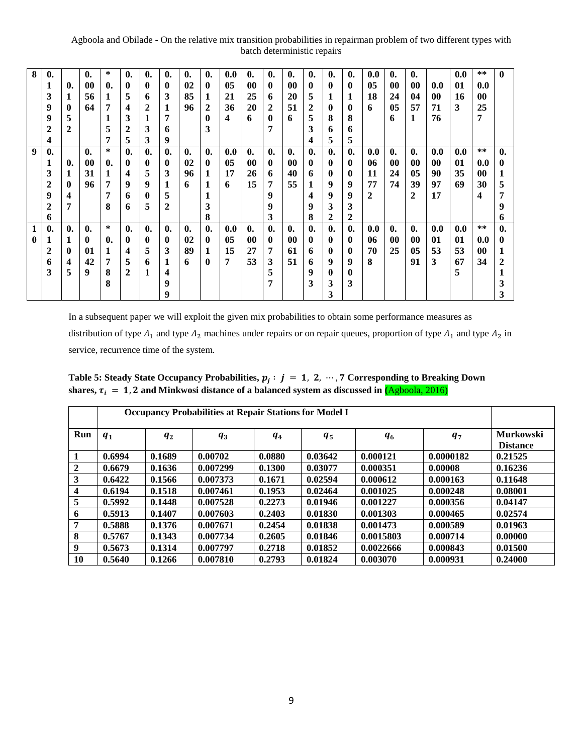| 8 | $\mathbf{0}$   |                | $\mathbf{0}$ . | ∗            | $\mathbf{0}$ . | $\mathbf{0}$ . | $\mathbf{0}$ . | $\mathbf{0}$ . | $\mathbf{0}$   | 0.0 | $\mathbf{0}$ . | $\mathbf{0}$ | $\mathbf{0}$   | $\mathbf{0}$ . | 0.             | $\mathbf{0}$ . | 0.0 | $\mathbf{0}$ | $\mathbf{0}$ . |           | 0.0 | $\ast\ast$              | $\mathbf{0}$ |
|---|----------------|----------------|----------------|--------------|----------------|----------------|----------------|----------------|----------------|-----|----------------|--------------|----------------|----------------|----------------|----------------|-----|--------------|----------------|-----------|-----|-------------------------|--------------|
|   | 1              | 0.             | 00             | $\mathbf{0}$ | $\mathbf{0}$   | $\mathbf{0}$   | $\mathbf{0}$   | 02             | 0              | 05  | $\bf{00}$      | 0            | $\bf{00}$      | 0              | $\mathbf{0}$   | $\mathbf{0}$   | 05  | $\bf{00}$    | 00             | 0.0       | 01  | 0.0                     |              |
|   | 3              | 1              | 56             | 1            | 5              | 6              | 3              | 85             | 1              | 21  | 25             | 6            | 20             | 5              | 1              | 1              | 18  | 24           | 04             | $\bf{00}$ | 16  | 00                      |              |
|   | 9              | $\bf{0}$       | 64             | 7            | 4              | 2              | 1              | 96             | 2              | 36  | 20             | 2            | 51             | 2              | $\mathbf{0}$   | $\mathbf{0}$   | 6   | 05           | 57             | 71        | 3   | 25                      |              |
|   | 9              | 5              |                | 1            | 3              | 1              | 7              |                | $\bf{0}$       | 4   | 6              | $\bf{0}$     | 6              | 5              | 8              | 8              |     | 6            | 1              | 76        |     | 7                       |              |
|   | 2              | 2              |                | 5            | 2              | 3              | 6              |                | 3              |     |                | 7            |                | 3              | 6              | 6              |     |              |                |           |     |                         |              |
|   | 4              |                |                | 7            | 5              | 3              | 9              |                |                |     |                |              |                | 4              | 5              | 5              |     |              |                |           |     |                         |              |
| 9 | $\mathbf{0}$   |                | $\mathbf{0}$   | ∗            | $\mathbf{0}$ . | $\mathbf{0}$ . | $\mathbf{0}$ . | $\mathbf{0}$   | $\mathbf{0}$   | 0.0 | $\mathbf{0}$   | $\mathbf{0}$ | $\mathbf{0}$ . | $\mathbf{0}$ . | $\mathbf{0}$ . | $\mathbf{0}$ . | 0.0 | $\mathbf{0}$ | $\mathbf{0}$ . | 0.0       | 0.0 | $* *$                   | $\mathbf{0}$ |
|   | 1              | $\mathbf{0}$   | 00             | $\mathbf{0}$ | $\bf{0}$       | $\mathbf{0}$   | $\mathbf{0}$   | 02             | 0              | 05  | $\bf{00}$      | $\bf{0}$     | $\bf{00}$      | $\bf{0}$       | $\mathbf{0}$   | $\mathbf{0}$   | 06  | $\bf{00}$    | 00             | $\bf{00}$ | 01  | 0.0                     | 0            |
|   | 3              | 1              | 31             |              | 4              | 5              | 3              | 96             | 1              | 17  | 26             | 6            | 40             | 6              | $\mathbf{0}$   | $\mathbf{0}$   | 11  | 24           | 05             | 90        | 35  | 00                      |              |
|   |                |                |                | 7            | 9              | 9              |                |                |                |     |                | 7            |                |                | 9              | 9              | 77  | 74           | 39             | 97        | 69  |                         |              |
|   | 2              | $\mathbf{0}$   | 96             |              |                |                | 1              | 6              | 1              | 6   | 15             |              | 55             | 1              |                |                |     |              |                |           |     | 30                      | 5            |
|   | 9              | 4              |                | 7            | 6              | $\mathbf{0}$   | 5              |                | 1              |     |                | 9            |                | 4              | 9              | 9              | 2   |              | $\mathbf{2}$   | 17        |     | $\overline{\mathbf{4}}$ | 7            |
|   | $\overline{2}$ | 7              |                | 8            | 6              | 5              | 2              |                | 3              |     |                | 9            |                | 9              | 3              | 3              |     |              |                |           |     |                         | 9            |
|   | 6              |                |                |              |                |                |                |                | 8              |     |                | 3            |                | 8              | 2              | 2              |     |              |                |           |     |                         | 6            |
| 1 | $\mathbf{0}$   | $\mathbf{0}$ . | $\mathbf{0}$   | ∗            | $\mathbf{0}$ . | $\mathbf{0}$ . | $\mathbf{0}$ . | $\mathbf{0}$ . | $\mathbf{0}$ . | 0.0 | $\mathbf{0}$   | $\mathbf{0}$ | $\mathbf{0}$ . | $\mathbf{0}$ . | $\mathbf{0}$ . | $\mathbf{0}$ . | 0.0 | $\mathbf{0}$ | $\mathbf{0}$ . | 0.0       | 0.0 | $\ast\ast$              | $\mathbf{0}$ |
| 0 | 1              | 1              | 0              | 0.           | $\mathbf{0}$   | $\mathbf{0}$   | $\mathbf{0}$   | 02             | 0              | 05  | $\bf{00}$      | $\mathbf{0}$ | $\bf{00}$      | $\mathbf{0}$   | $\mathbf{0}$   | $\mathbf{0}$   | 06  | $\bf{00}$    | 00             | 01        | 01  | 0.0                     | 0            |
|   | 2              | $\mathbf{0}$   | 01             |              | 4              | 5              | 3              | 89             | 1              | 15  | 27             | 7            | 61             | 6              | $\mathbf{0}$   | $\mathbf{0}$   | 70  | 25           | 0 <sub>5</sub> | 53        | 53  | 00                      | 1            |
|   | 6              | 4              | 42             | 7            | 5              | 6              | 1              | 6              | 0              | 7   | 53             | 3            | 51             | 6              | 9              | 9              | 8   |              | 91             | 3         | 67  | 34                      | 2            |
|   | 3              | 5              | 9              | 8            | 2              | 1              | 4              |                |                |     |                | 5            |                | 9              | $\mathbf{0}$   | $\bf{0}$       |     |              |                |           | 5   |                         |              |
|   |                |                |                | 8            |                |                | 9              |                |                |     |                | 7            |                | 3              | 3              | 3              |     |              |                |           |     |                         | 3            |
|   |                |                |                |              |                |                | 9              |                |                |     |                |              |                |                | 3              |                |     |              |                |           |     |                         | 3            |
|   |                |                |                |              |                |                |                |                |                |     |                |              |                |                |                |                |     |              |                |           |     |                         |              |

In a subsequent paper we will exploit the given mix probabilities to obtain some performance measures as distribution of type  $A_1$  and type  $A_2$  machines under repairs or on repair queues, proportion of type  $A_1$  and type  $A_2$  in service, recurrence time of the system.

Table 5: Steady State Occupancy Probabilities,  $p_j : j = 1, 2, ..., 7$  Corresponding to Breaking Down shares,  $\tau_i = 1$ , 2 and Minkwosi distance of a balanced system as discussed in  $(Agboola, 2016)$ 

|                         | <b>Occupancy Probabilities at Repair Stations for Model I</b> |         |          |         |         |           |           |                                     |  |  |  |  |  |
|-------------------------|---------------------------------------------------------------|---------|----------|---------|---------|-----------|-----------|-------------------------------------|--|--|--|--|--|
| Run                     | $q_{1}$                                                       | $q_{2}$ | $q_3$    | $q_{4}$ | $q_{5}$ | $q_{6}$   | $q_{7}$   | <b>Murkowski</b><br><b>Distance</b> |  |  |  |  |  |
|                         | 0.6994                                                        | 0.1689  | 0.00702  | 0.0880  | 0.03642 | 0.000121  | 0.0000182 | 0.21525                             |  |  |  |  |  |
| $\overline{2}$          | 0.6679                                                        | 0.1636  | 0.007299 | 0.1300  | 0.03077 | 0.000351  | 0.00008   | 0.16236                             |  |  |  |  |  |
| 3                       | 0.6422                                                        | 0.1566  | 0.007373 | 0.1671  | 0.02594 | 0.000612  | 0.000163  | 0.11648                             |  |  |  |  |  |
| $\overline{\mathbf{4}}$ | 0.6194                                                        | 0.1518  | 0.007461 | 0.1953  | 0.02464 | 0.001025  | 0.000248  | 0.08001                             |  |  |  |  |  |
| 5                       | 0.5992                                                        | 0.1448  | 0.007528 | 0.2273  | 0.01946 | 0.001227  | 0.000356  | 0.04147                             |  |  |  |  |  |
| 6                       | 0.5913                                                        | 0.1407  | 0.007603 | 0.2403  | 0.01830 | 0.001303  | 0.000465  | 0.02574                             |  |  |  |  |  |
| 7                       | 0.5888                                                        | 0.1376  | 0.007671 | 0.2454  | 0.01838 | 0.001473  | 0.000589  | 0.01963                             |  |  |  |  |  |
| 8                       | 0.5767                                                        | 0.1343  | 0.007734 | 0.2605  | 0.01846 | 0.0015803 | 0.000714  | 0.00000                             |  |  |  |  |  |
| 9                       | 0.5673                                                        | 0.1314  | 0.007797 | 0.2718  | 0.01852 | 0.0022666 | 0.000843  | 0.01500                             |  |  |  |  |  |
| 10                      | 0.5640                                                        | 0.1266  | 0.007810 | 0.2793  | 0.01824 | 0.003070  | 0.000931  | 0.24000                             |  |  |  |  |  |